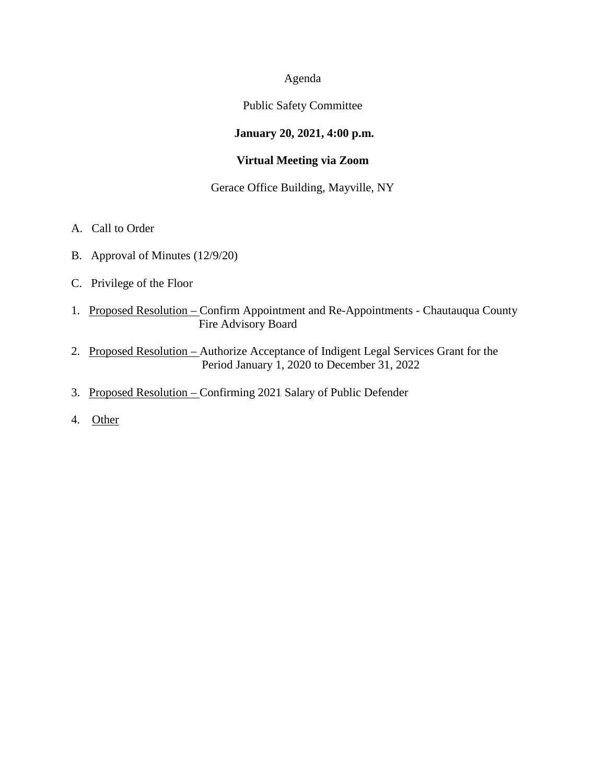## Agenda

#### Public Safety Committee

# **January 20, 2021, 4:00 p.m.**

# **Virtual Meeting via Zoom**

# Gerace Office Building, Mayville, NY

- A. Call to Order
- B. Approval of Minutes (12/9/20)
- C. Privilege of the Floor
- 1. Proposed Resolution Confirm Appointment and Re-Appointments Chautauqua County Fire Advisory Board
- 2. Proposed Resolution Authorize Acceptance of Indigent Legal Services Grant for the Period January 1, 2020 to December 31, 2022
- 3. Proposed Resolution Confirming 2021 Salary of Public Defender
- 4. Other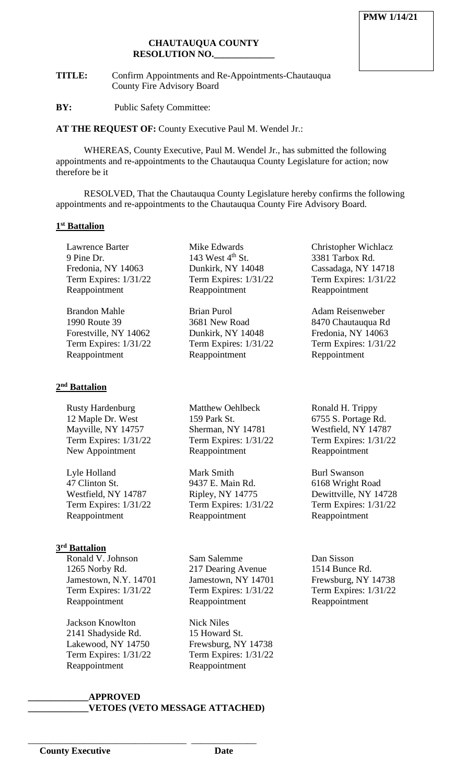#### **CHAUTAUQUA COUNTY RESOLUTION NO.\_\_\_\_\_\_\_\_\_\_\_\_\_**

**TITLE:** Confirm Appointments and Re-Appointments-Chautauqua County Fire Advisory Board

**BY:** Public Safety Committee:

**AT THE REQUEST OF:** County Executive Paul M. Wendel Jr.:

WHEREAS, County Executive, Paul M. Wendel Jr., has submitted the following appointments and re-appointments to the Chautauqua County Legislature for action; now therefore be it

RESOLVED, That the Chautauqua County Legislature hereby confirms the following appointments and re-appointments to the Chautauqua County Fire Advisory Board.

#### **1st Battalion**

Lawrence Barter 9 Pine Dr. Fredonia, NY 14063 Term Expires: 1/31/22 Reappointment

Brandon Mahle 1990 Route 39 Forestville, NY 14062 Term Expires: 1/31/22 Reappointment

#### **2nd Battalion**

Rusty Hardenburg 12 Maple Dr. West Mayville, NY 14757 Term Expires: 1/31/22 New Appointment

Lyle Holland 47 Clinton St. Westfield, NY 14787 Term Expires: 1/31/22 Reappointment

# **3rd Battalion**

Ronald V. Johnson 1265 Norby Rd. Jamestown, N.Y. 14701 Term Expires: 1/31/22 Reappointment

Jackson Knowlton 2141 Shadyside Rd. Lakewood, NY 14750 Term Expires: 1/31/22 Reappointment

Mike Edwards 143 West  $4<sup>th</sup>$  St. Dunkirk, NY 14048 Term Expires: 1/31/22 Reappointment

Brian Purol 3681 New Road Dunkirk, NY 14048 Term Expires: 1/31/22 Reappointment

Matthew Oehlbeck 159 Park St. Sherman, NY 14781 Term Expires: 1/31/22 Reappointment

Mark Smith 9437 E. Main Rd. Ripley, NY 14775 Term Expires: 1/31/22 Reappointment

Sam Salemme 217 Dearing Avenue Jamestown, NY 14701 Term Expires: 1/31/22 Reappointment

Nick Niles 15 Howard St. Frewsburg, NY 14738 Term Expires: 1/31/22 Reappointment

Dan Sisson 1514 Bunce Rd. Frewsburg, NY 14738 Term Expires: 1/31/22 Reappointment

Christopher Wichlacz 3381 Tarbox Rd. Cassadaga, NY 14718 Term Expires: 1/31/22

Reappointment

Reppointment

Ronald H. Trippy 6755 S. Portage Rd. Westfield, NY 14787 Term Expires: 1/31/22

Reappointment

Burl Swanson 6168 Wright Road Dewittville, NY 14728 Term Expires: 1/31/22

Reappointment

Adam Reisenweber 8470 Chautauqua Rd Fredonia, NY 14063 Term Expires: 1/31/22

**\_\_\_\_\_\_\_\_\_\_\_\_\_APPROVED \_\_\_\_\_\_\_\_\_\_\_\_\_VETOES (VETO MESSAGE ATTACHED)**

\_\_\_\_\_\_\_\_\_\_\_\_\_\_\_\_\_\_\_\_\_\_\_\_\_\_\_\_\_\_\_\_\_\_ \_\_\_\_\_\_\_\_\_\_\_\_\_\_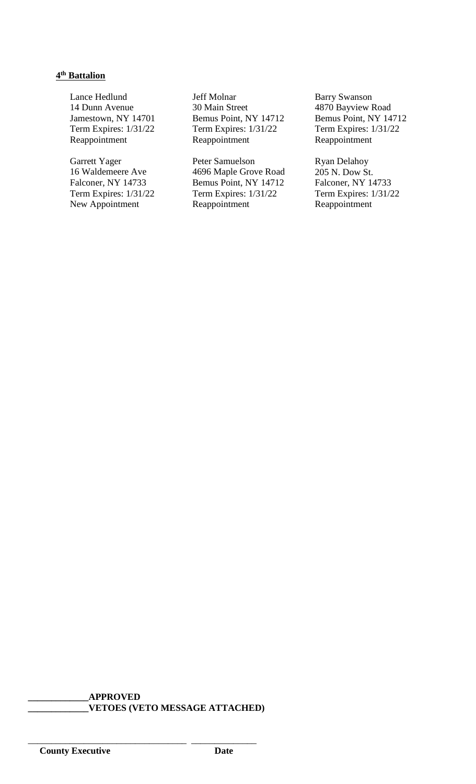# **4th Battalion**

Lance Hedlund 14 Dunn Avenue Jamestown, NY 14701 Term Expires: 1/31/22 Reappointment

Garrett Yager 16 Waldemeere Ave Falconer, NY 14733 Term Expires: 1/31/22 New Appointment

Jeff Molnar 30 Main Street Bemus Point, NY 14712 Term Expires: 1/31/22 Reappointment

Peter Samuelson 4696 Maple Grove Road Bemus Point, NY 14712 Term Expires: 1/31/22 Reappointment

Barry Swanson 4870 Bayview Road Bemus Point, NY 14712 Term Expires: 1/31/22 Reappointment

Ryan Delahoy 205 N. Dow St. Falconer, NY 14733 Term Expires: 1/31/22 Reappointment

# **\_\_\_\_\_\_\_\_\_\_\_\_\_APPROVED \_\_\_\_\_\_\_\_\_\_\_\_\_VETOES (VETO MESSAGE ATTACHED)**

\_\_\_\_\_\_\_\_\_\_\_\_\_\_\_\_\_\_\_\_\_\_\_\_\_\_\_\_\_\_\_\_\_\_ \_\_\_\_\_\_\_\_\_\_\_\_\_\_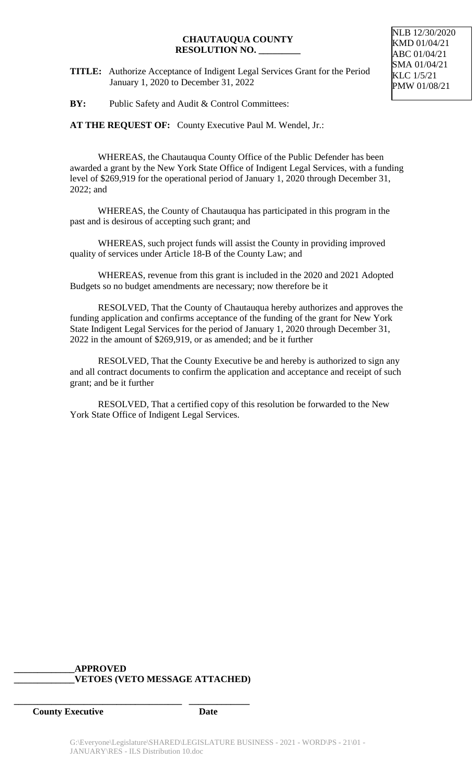#### **CHAUTAUQUA COUNTY RESOLUTION NO. \_\_\_\_\_\_\_\_\_**

**TITLE:** Authorize Acceptance of Indigent Legal Services Grant for the Period January 1, 2020 to December 31, 2022

**BY:** Public Safety and Audit & Control Committees:

**AT THE REQUEST OF:** County Executive Paul M. Wendel, Jr.:

WHEREAS, the Chautauqua County Office of the Public Defender has been awarded a grant by the New York State Office of Indigent Legal Services, with a funding level of \$269,919 for the operational period of January 1, 2020 through December 31, 2022; and

WHEREAS, the County of Chautauqua has participated in this program in the past and is desirous of accepting such grant; and

WHEREAS, such project funds will assist the County in providing improved quality of services under Article 18-B of the County Law; and

WHEREAS, revenue from this grant is included in the 2020 and 2021 Adopted Budgets so no budget amendments are necessary; now therefore be it

RESOLVED, That the County of Chautauqua hereby authorizes and approves the funding application and confirms acceptance of the funding of the grant for New York State Indigent Legal Services for the period of January 1, 2020 through December 31, 2022 in the amount of \$269,919, or as amended; and be it further

RESOLVED, That the County Executive be and hereby is authorized to sign any and all contract documents to confirm the application and acceptance and receipt of such grant; and be it further

RESOLVED, That a certified copy of this resolution be forwarded to the New York State Office of Indigent Legal Services.

#### **\_\_\_\_\_\_\_\_\_\_\_\_\_APPROVED \_\_\_\_\_\_\_\_\_\_\_\_\_VETOES (VETO MESSAGE ATTACHED)**

**\_\_\_\_\_\_\_\_\_\_\_\_\_\_\_\_\_\_\_\_\_\_\_\_\_\_\_\_\_\_\_\_\_\_\_\_ \_\_\_\_\_\_\_\_\_\_\_\_\_**

**County Executive Date**